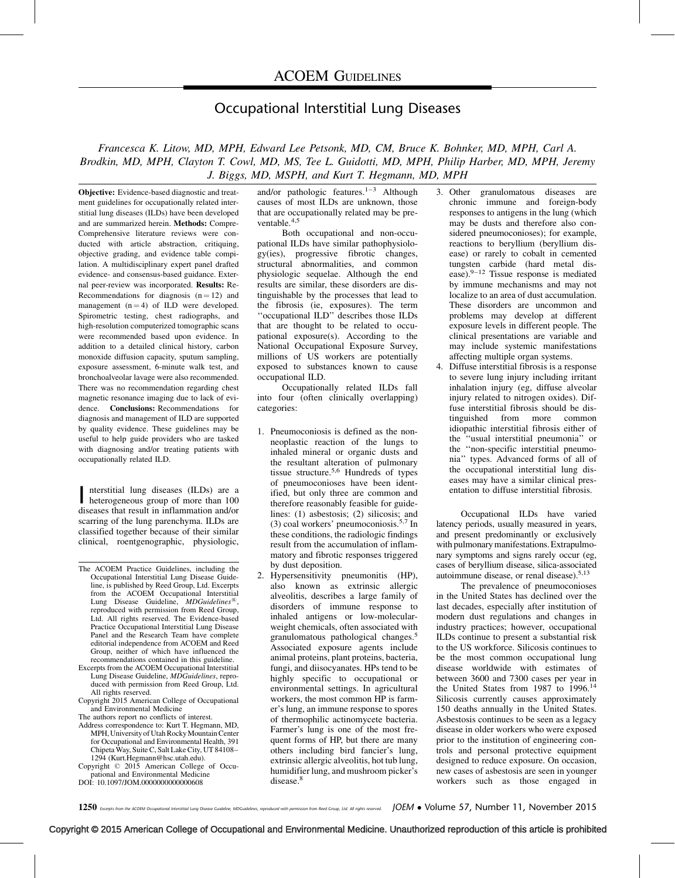# Occupational Interstitial Lung Diseases

Francesca K. Litow, MD, MPH, Edward Lee Petsonk, MD, CM, Bruce K. Bohnker, MD, MPH, Carl A. Brodkin, MD, MPH, Clayton T. Cowl, MD, MS, Tee L. Guidotti, MD, MPH, Philip Harber, MD, MPH, Jeremy J. Biggs, MD, MSPH, and Kurt T. Hegmann, MD, MPH

Objective: Evidence-based diagnostic and treatment guidelines for occupationally related interstitial lung diseases (ILDs) have been developed and are summarized herein. Methods: Compre-Comprehensive literature reviews were conducted with article abstraction, critiquing, objective grading, and evidence table compilation. A multidisciplinary expert panel drafted evidence- and consensus-based guidance. External peer-review was incorporated. Results: Re-Recommendations for diagnosis  $(n = 12)$  and management  $(n = 4)$  of ILD were developed. Spirometric testing, chest radiographs, and high-resolution computerized tomographic scans were recommended based upon evidence. In addition to a detailed clinical history, carbon monoxide diffusion capacity, sputum sampling, exposure assessment, 6-minute walk test, and bronchoalveolar lavage were also recommended. There was no recommendation regarding chest magnetic resonance imaging due to lack of evidence. Conclusions: Recommendations for diagnosis and management of ILD are supported by quality evidence. These guidelines may be useful to help guide providers who are tasked with diagnosing and/or treating patients with occupationally related ILD.

nterstitial lung diseases (ILDs) are a<br>heterogeneous group of more than 100<br>diseases that would in inflammation on the diseases that result in inflammation and/or scarring of the lung parenchyma. ILDs are classified together because of their similar clinical, roentgenographic, physiologic,

- The ACOEM Practice Guidelines, including the Occupational Interstitial Lung Disease Guideline, is published by Reed Group, Ltd. Excerpts from the ACOEM Occupational Interstitial Lung Disease Guideline, MDGuidelines<sup>®</sup>, reproduced with permission from Reed Group, Ltd. All rights reserved. The Evidence-based Practice Occupational Interstitial Lung Disease Panel and the Research Team have complete editorial independence from ACOEM and Reed Group, neither of which have influenced the recommendations contained in this guideline.
- Excerpts from the ACOEM Occupational Interstitial Lung Disease Guideline, MDGuidelines, reproduced with permission from Reed Group, Ltd. All rights reserved.
- Copyright 2015 American College of Occupational and Environmental Medicine The authors report no conflicts of interest.
- Address correspondence to: Kurt T. Hegmann, MD, MPH, University of Utah RockyMountain Center for Occupational and Environmental Health, 391 Chipeta Way, Suite C, Salt Lake City, UT 84108– 1294 [\(Kurt.Hegmann@hsc.utah.edu\)](mailto:Kurt.Hegmann@hsc.utah.edu).
- Copyright © 2015 American College of Occupational and Environmental Medicine DOI: 10.1097/JOM.0000000000000608

and/or pathologic features. $1-3$  Although causes of most ILDs are unknown, those that are occupationally related may be pre-ventable.<sup>[4,5](#page-4-0)</sup>

Both occupational and non-occupational ILDs have similar pathophysiology(ies), progressive fibrotic changes, structural abnormalities, and common physiologic sequelae. Although the end results are similar, these disorders are distinguishable by the processes that lead to the fibrosis (ie, exposures). The term ''occupational ILD'' describes those ILDs that are thought to be related to occupational exposure(s). According to the National Occupational Exposure Survey, millions of US workers are potentially exposed to substances known to cause occupational ILD.

Occupationally related ILDs fall into four (often clinically overlapping) categories:

- 1. Pneumoconiosis is defined as the nonneoplastic reaction of the lungs to inhaled mineral or organic dusts and the resultant alteration of pulmonary tissue structure.[5,6](#page-4-0) Hundreds of types of pneumoconioses have been identified, but only three are common and therefore reasonably feasible for guidelines: (1) asbestosis; (2) silicosis; and (3) coal workers' pneumoconiosis.[5,7](#page-4-0) In these conditions, the radiologic findings result from the accumulation of inflammatory and fibrotic responses triggered by dust deposition.
- 2. Hypersensitivity pneumonitis (HP), also known as extrinsic allergic alveolitis, describes a large family of disorders of immune response to inhaled antigens or low-molecularweight chemicals, often associated with granulomatous pathological changes.[5](#page-4-0) Associated exposure agents include animal proteins, plant proteins, bacteria, fungi, and diisocyanates. HPs tend to be highly specific to occupational or environmental settings. In agricultural workers, the most common HP is farmer's lung, an immune response to spores of thermophilic actinomycete bacteria. Farmer's lung is one of the most frequent forms of HP, but there are many others including bird fancier's lung, extrinsic allergic alveolitis, hot tub lung, humidifier lung, and mushroom picker's disease.<sup>[8](#page-4-0)</sup>
- 3. Other granulomatous diseases are chronic immune and foreign-body responses to antigens in the lung (which may be dusts and therefore also considered pneumoconioses); for example, reactions to beryllium (beryllium disease) or rarely to cobalt in cemented tungsten carbide (hard metal disease). $9-12$  Tissue response is mediated by immune mechanisms and may not localize to an area of dust accumulation. These disorders are uncommon and problems may develop at different exposure levels in different people. The clinical presentations are variable and may include systemic manifestations affecting multiple organ systems.
- 4. Diffuse interstitial fibrosis is a response to severe lung injury including irritant inhalation injury (eg, diffuse alveolar injury related to nitrogen oxides). Diffuse interstitial fibrosis should be distinguished from more common idiopathic interstitial fibrosis either of the ''usual interstitial pneumonia'' or the ''non-specific interstitial pneumonia'' types. Advanced forms of all of the occupational interstitial lung diseases may have a similar clinical presentation to diffuse interstitial fibrosis.

Occupational ILDs have varied latency periods, usually measured in years, and present predominantly or exclusively with pulmonary manifestations. Extrapulmonary symptoms and signs rarely occur (eg, cases of beryllium disease, silica-associated autoimmune disease, or renal disease).<sup>[5,13](#page-4-0)</sup>

The prevalence of pneumoconioses in the United States has declined over the last decades, especially after institution of modern dust regulations and changes in industry practices; however, occupational ILDs continue to present a substantial risk to the US workforce. Silicosis continues to be the most common occupational lung disease worldwide with estimates of between 3600 and 7300 cases per year in the United States from 1987 to 1996.<sup>[14](#page-4-0)</sup> Silicosis currently causes approximately 150 deaths annually in the United States. Asbestosis continues to be seen as a legacy disease in older workers who were exposed prior to the institution of engineering controls and personal protective equipment designed to reduce exposure. On occasion, new cases of asbestosis are seen in younger workers such as those engaged in

 $1250$  Excerpts from the ACOEM Occupational Interstitial Lung Disease Guideline, MDGuidelines, reproduced with permission from Reed Group, Ltd. All rights reserved.  $JOEM\bullet Volume$   $57, Number$   $11, November$   $2015$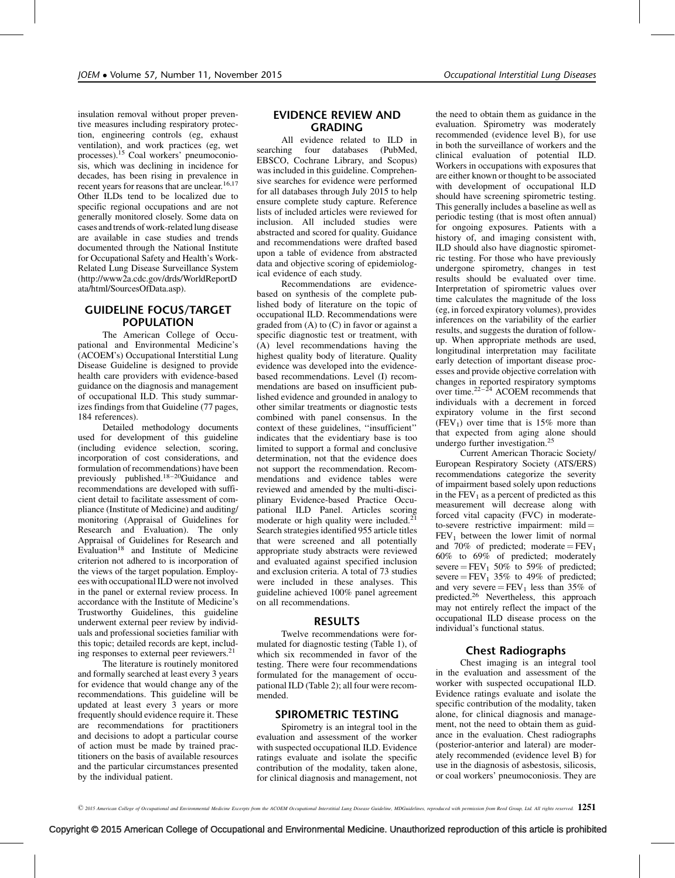insulation removal without proper preventive measures including respiratory protection, engineering controls (eg, exhaust ventilation), and work practices (eg, wet processes)[.15](#page-4-0) Coal workers' pneumoconiosis, which was declining in incidence for decades, has been rising in prevalence in recent years for reasons that are unclear.<sup>[16,17](#page-4-0)</sup> Other ILDs tend to be localized due to specific regional occupations and are not generally monitored closely. Some data on cases andtrends of work-related lung disease are available in case studies and trends documented through the National Institute for Occupational Safety and Health's Work-Related Lung Disease Surveillance System [\(http://www2a.cdc.gov/drds/WorldReportD](http://www2a.cdc.gov/drds/WorldReportData/html/SourcesOfData.asp) [ata/html/SourcesOfData.asp\)](http://www2a.cdc.gov/drds/WorldReportData/html/SourcesOfData.asp).

## GUIDELINE FOCUS/TARGET POPULATION

The American College of Occupational and Environmental Medicine's (ACOEM's) Occupational Interstitial Lung Disease Guideline is designed to provide health care providers with evidence-based guidance on the diagnosis and management of occupational ILD. This study summarizes findings from that Guideline (77 pages, 184 references).

Detailed methodology documents used for development of this guideline (including evidence selection, scoring, incorporation of cost considerations, and formulation of recommendations) have been previously published.[18–20](#page-4-0)Guidance and recommendations are developed with sufficient detail to facilitate assessment of compliance (Institute of Medicine) and auditing/ monitoring (Appraisal of Guidelines for Research and Evaluation). The only Appraisal of Guidelines for Research and Evaluation<sup>[18](#page-4-0)</sup> and Institute of Medicine criterion not adhered to is incorporation of the views of the target population. Employees with occupational ILD were not involved in the panel or external review process. In accordance with the Institute of Medicine's Trustworthy Guidelines, this guideline underwent external peer review by individuals and professional societies familiar with this topic; detailed records are kept, including responses to external peer reviewers.<sup>21</sup>

The literature is routinely monitored and formally searched at least every 3 years for evidence that would change any of the recommendations. This guideline will be updated at least every 3 years or more frequently should evidence require it. These are recommendations for practitioners and decisions to adopt a particular course of action must be made by trained practitioners on the basis of available resources and the particular circumstances presented by the individual patient.

#### EVIDENCE REVIEW AND **GRADING**

All evidence related to ILD in searching four databases (PubMed, EBSCO, Cochrane Library, and Scopus) was included in this guideline. Comprehensive searches for evidence were performed for all databases through July 2015 to help ensure complete study capture. Reference lists of included articles were reviewed for inclusion. All included studies were abstracted and scored for quality. Guidance and recommendations were drafted based upon a table of evidence from abstracted data and objective scoring of epidemiological evidence of each study.

Recommendations are evidencebased on synthesis of the complete published body of literature on the topic of occupational ILD. Recommendations were graded from (A) to (C) in favor or against a specific diagnostic test or treatment, with (A) level recommendations having the highest quality body of literature. Quality evidence was developed into the evidencebased recommendations. Level (I) recommendations are based on insufficient published evidence and grounded in analogy to other similar treatments or diagnostic tests combined with panel consensus. In the context of these guidelines, ''insufficient'' indicates that the evidentiary base is too limited to support a formal and conclusive determination, not that the evidence does not support the recommendation. Recommendations and evidence tables were reviewed and amended by the multi-disciplinary Evidence-based Practice Occupational ILD Panel. Articles scoring moderate or high quality were included.<sup>2</sup> Search strategies identified 955 article titles that were screened and all potentially appropriate study abstracts were reviewed and evaluated against specified inclusion and exclusion criteria. A total of 73 studies were included in these analyses. This guideline achieved 100% panel agreement on all recommendations.

### **RESULTS**

Twelve recommendations were formulated for diagnostic testing (Table 1), of which six recommended in favor of the testing. There were four recommendations formulated for the management of occupational ILD (Table 2); all four were recommended.

### SPIROMETRIC TESTING

Spirometry is an integral tool in the evaluation and assessment of the worker with suspected occupational ILD. Evidence ratings evaluate and isolate the specific contribution of the modality, taken alone, for clinical diagnosis and management, not

the need to obtain them as guidance in the evaluation. Spirometry was moderately recommended (evidence level B), for use in both the surveillance of workers and the clinical evaluation of potential ILD. Workers in occupations with exposures that are either known or thought to be associated with development of occupational ILD should have screening spirometric testing. This generally includes a baseline as well as periodic testing (that is most often annual) for ongoing exposures. Patients with a history of, and imaging consistent with, ILD should also have diagnostic spirometric testing. For those who have previously undergone spirometry, changes in test results should be evaluated over time. Interpretation of spirometric values over time calculates the magnitude of the loss (eg, in forced expiratory volumes), provides inferences on the variability of the earlier results, and suggests the duration of followup. When appropriate methods are used, longitudinal interpretation may facilitate early detection of important disease processes and provide objective correlation with changes in reported respiratory symptoms over time.[22–24](#page-4-0) ACOEM recommends that individuals with a decrement in forced expiratory volume in the first second  $(FEV<sub>1</sub>)$  over time that is 15% more than that expected from aging alone should undergo further investigation.[25](#page-4-0)

Current American Thoracic Society/ European Respiratory Society (ATS/ERS) recommendations categorize the severity of impairment based solely upon reductions in the  $FEV<sub>1</sub>$  as a percent of predicted as this measurement will decrease along with forced vital capacity (FVC) in moderateto-severe restrictive impairment:  $mild =$  $FEV<sub>1</sub>$  between the lower limit of normal and 70% of predicted; moderate =  $FEV_1$ 60% to 69% of predicted; moderately severe =  $FEV_1$  50% to 59% of predicted; severe =  $FEV_1$  35% to 49% of predicted; and very severe =  $FEV_1$  less than 35% of predicted[.26](#page-4-0) Nevertheless, this approach may not entirely reflect the impact of the occupational ILD disease process on the individual's functional status.

## Chest Radiographs

Chest imaging is an integral tool in the evaluation and assessment of the worker with suspected occupational ILD. Evidence ratings evaluate and isolate the specific contribution of the modality, taken alone, for clinical diagnosis and management, not the need to obtain them as guidance in the evaluation. Chest radiographs (posterior-anterior and lateral) are moderately recommended (evidence level B) for use in the diagnosis of asbestosis, silicosis, or coal workers' pneumoconiosis. They are

 $\mathbb O$  2015 American College of Occupational and Environmental Medicine Excerpts from the ACOEM Occupational Interstitial Lung Disease Guideline, MDGuidelines, reproduced with permission from Reed Group, Ltd. All rights r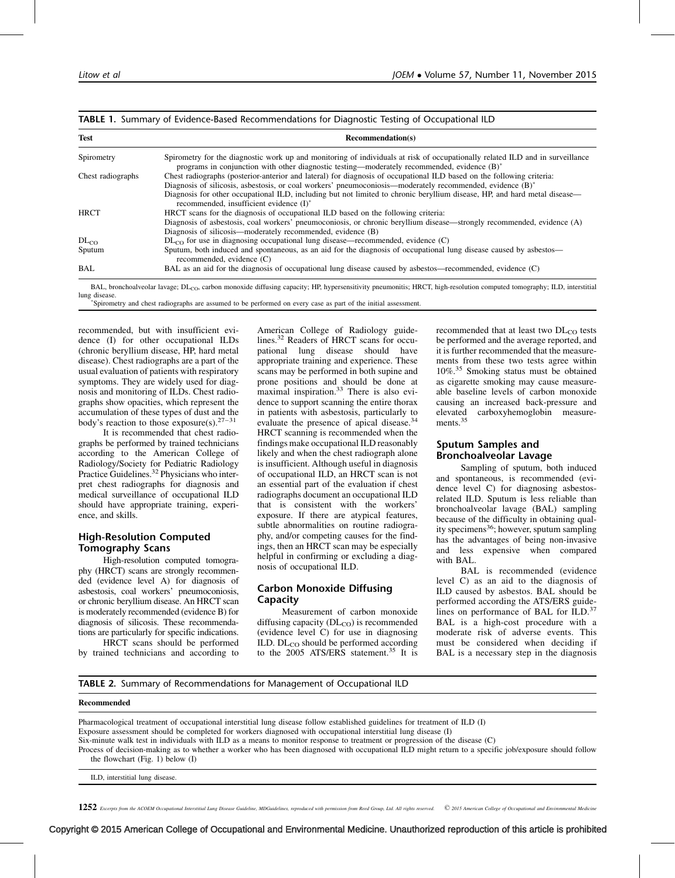|  | <b>TABLE 1.</b> Summary of Evidence-Based Recommendations for Diagnostic Testing of Occupational ILD |  |  |
|--|------------------------------------------------------------------------------------------------------|--|--|
|  |                                                                                                      |  |  |

| <b>Test</b>       | <b>Recommendation(s)</b>                                                                                                                                                                                                                       |  |  |  |
|-------------------|------------------------------------------------------------------------------------------------------------------------------------------------------------------------------------------------------------------------------------------------|--|--|--|
| Spirometry        | Spirometry for the diagnostic work up and monitoring of individuals at risk of occupationally related ILD and in surveillance<br>programs in conjunction with other diagnostic testing—moderately recommended, evidence $(B)^*$                |  |  |  |
| Chest radiographs | Chest radiographs (posterior-anterior and lateral) for diagnosis of occupational ILD based on the following criteria:<br>Diagnosis of silicosis, asbestosis, or coal workers' pneumoconiosis—moderately recommended, evidence (B) <sup>*</sup> |  |  |  |
|                   | Diagnosis for other occupational ILD, including but not limited to chronic beryllium disease, HP, and hard metal disease—<br>recommended, insufficient evidence (I)*                                                                           |  |  |  |
| <b>HRCT</b>       | HRCT scans for the diagnosis of occupational ILD based on the following criteria:                                                                                                                                                              |  |  |  |
|                   | Diagnosis of asbestosis, coal workers' pneumoconiosis, or chronic beryllium disease—strongly recommended, evidence (A)<br>Diagnosis of silicosis—moderately recommended, evidence (B)                                                          |  |  |  |
| $DL_{CO}$         | $DL_{CO}$ for use in diagnosing occupational lung disease—recommended, evidence (C)                                                                                                                                                            |  |  |  |
| Sputum            | Sputum, both induced and spontaneous, as an aid for the diagnosis of occupational lung disease caused by asbestos—<br>recommended, evidence (C)                                                                                                |  |  |  |
| <b>BAL</b>        | BAL as an aid for the diagnosis of occupational lung disease caused by asbestos—recommended, evidence (C)                                                                                                                                      |  |  |  |
|                   | DAI beangkagbuadan launga DI - saekan manarida diffusing aangaituu IID kunggaganistiwitu ngamaatida. IIDCP bigk egaghutiga aangautad tamagangkuu II D interestif                                                                               |  |  |  |

olar lavage; DL<sub>CO</sub>, carbon monoxide diffusing capacity; HP, hypersensitivity pneumonitis; HRCT, high-resolution computed tomography; ILD, interstitial lung disease.

Spirometry and chest radiographs are assumed to be performed on every case as part of the initial assessment.

recommended, but with insufficient evidence (I) for other occupational ILDs (chronic beryllium disease, HP, hard metal disease). Chest radiographs are a part of the usual evaluation of patients with respiratory symptoms. They are widely used for diagnosis and monitoring of ILDs. Chest radiographs show opacities, which represent the accumulation of these types of dust and the body's reaction to those exposure(s).  $27-31$ 

It is recommended that chest radiographs be performed by trained technicians according to the American College of Radiology/Society for Pediatric Radiology Practice Guidelines.<sup>[32](#page-4-0)</sup> Physicians who interpret chest radiographs for diagnosis and medical surveillance of occupational ILD should have appropriate training, experience, and skills.

#### High-Resolution Computed Tomography Scans

High-resolution computed tomography (HRCT) scans are strongly recommended (evidence level A) for diagnosis of asbestosis, coal workers' pneumoconiosis, or chronic beryllium disease. An HRCT scan is moderately recommended (evidence B) for diagnosis of silicosis. These recommendations are particularly for specific indications.

HRCT scans should be performed by trained technicians and according to

American College of Radiology guidelines[.32](#page-4-0) Readers of HRCT scans for occupational lung disease should have appropriate training and experience. These scans may be performed in both supine and prone positions and should be done at maximal inspiration.<sup>[33](#page-4-0)</sup> There is also evidence to support scanning the entire thorax in patients with asbestosis, particularly to evaluate the presence of apical disease.<sup>3</sup> HRCT scanning is recommended when the findings make occupational ILD reasonably likely and when the chest radiograph alone is insufficient. Although useful in diagnosis of occupational ILD, an HRCT scan is not an essential part of the evaluation if chest radiographs document an occupational ILD that is consistent with the workers' exposure. If there are atypical features, subtle abnormalities on routine radiography, and/or competing causes for the findings, then an HRCT scan may be especially helpful in confirming or excluding a diagnosis of occupational ILD.

#### Carbon Monoxide Diffusing Capacity

Measurement of carbon monoxide diffusing capacity  $(DL_{CO})$  is recommended (evidence level C) for use in diagnosing ILD.  $DL_{CO}$  should be performed according to the 2005 ATS/ERS statement.<sup>[35](#page-4-0)</sup> It is

recommended that at least two DL<sub>CO</sub> tests be performed and the average reported, and it is further recommended that the measurements from these two tests agree within 10%.[35](#page-4-0) Smoking status must be obtained as cigarette smoking may cause measureable baseline levels of carbon monoxide causing an increased back-pressure and elevated carboxyhemoglobin measure-ments.<sup>[35](#page-4-0)</sup>

#### Sputum Samples and Bronchoalveolar Lavage

Sampling of sputum, both induced and spontaneous, is recommended (evidence level C) for diagnosing asbestosrelated ILD. Sputum is less reliable than bronchoalveolar lavage (BAL) sampling because of the difficulty in obtaining quality specimens<sup>36</sup>; however, sputum sampling has the advantages of being non-invasive and less expensive when compared with BAL.

BAL is recommended (evidence level C) as an aid to the diagnosis of ILD caused by asbestos. BAL should be performed according the ATS/ERS guide-lines on performance of BAL for ILD.<sup>[37](#page-4-0)</sup> BAL is a high-cost procedure with a moderate risk of adverse events. This must be considered when deciding if BAL is a necessary step in the diagnosis

#### TABLE 2. Summary of Recommendations for Management of Occupational ILD

#### Recommended

Pharmacological treatment of occupational interstitial lung disease follow established guidelines for treatment of ILD (I) Exposure assessment should be completed for workers diagnosed with occupational interstitial lung disease (I) Six-minute walk test in individuals with ILD as a means to monitor response to treatment or progression of the disease (C) Process of decision-making as to whether a worker who has been diagnosed with occupational ILD might return to a specific job/exposure should follow the flowchart (Fig. 1) below (I)

ILD, interstitial lung disease.

 $1252$  Excerpts from the ACOEM Occupational Interstitial Lung Disease Guideline, MDGuidelines, reproduced with permission from Reed Group, Ltd. All rights reserved.  $\quad$  2015 American College of Occupational and Environme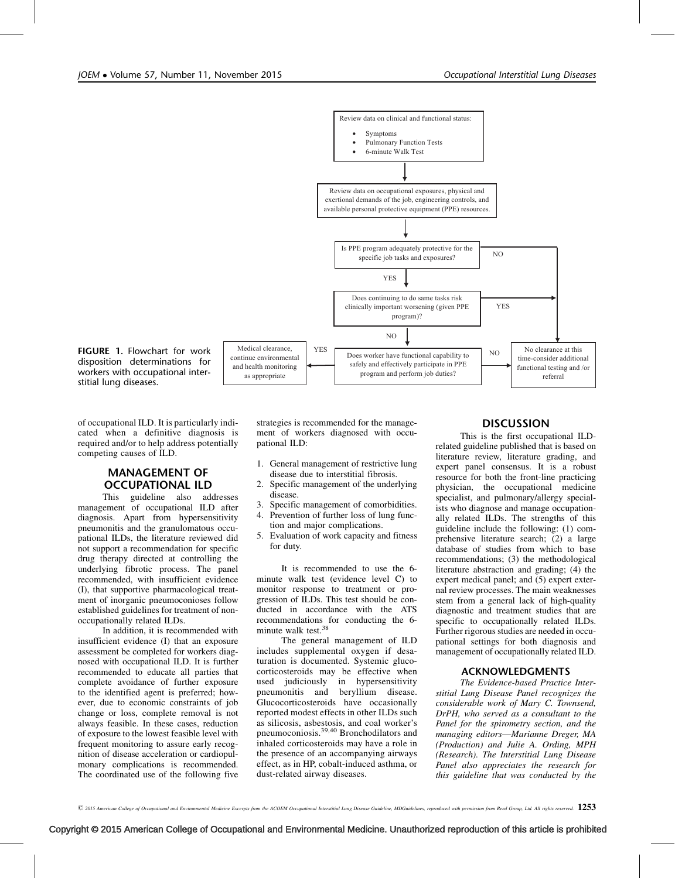

FIGURE 1. Flowchart for work disposition determinations for workers with occupational interstitial lung diseases.

of occupational ILD. It is particularly indicated when a definitive diagnosis is required and/or to help address potentially competing causes of ILD.

### MANAGEMENT OF OCCUPATIONAL ILD

This guideline also addresses management of occupational ILD after diagnosis. Apart from hypersensitivity pneumonitis and the granulomatous occupational ILDs, the literature reviewed did not support a recommendation for specific drug therapy directed at controlling the underlying fibrotic process. The panel recommended, with insufficient evidence (I), that supportive pharmacological treatment of inorganic pneumoconioses follow established guidelines for treatment of nonoccupationally related ILDs.

In addition, it is recommended with insufficient evidence (I) that an exposure assessment be completed for workers diagnosed with occupational ILD. It is further recommended to educate all parties that complete avoidance of further exposure to the identified agent is preferred; however, due to economic constraints of job change or loss, complete removal is not always feasible. In these cases, reduction of exposure to the lowest feasible level with frequent monitoring to assure early recognition of disease acceleration or cardiopulmonary complications is recommended. The coordinated use of the following five

strategies is recommended for the management of workers diagnosed with occupational ILD:

- 1. General management of restrictive lung disease due to interstitial fibrosis.
- 2. Specific management of the underlying disease.
- 3. Specific management of comorbidities. 4. Prevention of further loss of lung func-
- tion and major complications.
- 5. Evaluation of work capacity and fitness for duty.

It is recommended to use the 6 minute walk test (evidence level C) to monitor response to treatment or progression of ILDs. This test should be conducted in accordance with the ATS recommendations for conducting the 6 minute walk test.[38](#page-4-0)

The general management of ILD includes supplemental oxygen if desaturation is documented. Systemic glucocorticosteroids may be effective when used judiciously in hypersensitivity pneumonitis and beryllium disease. Glucocorticosteroids have occasionally reported modest effects in other ILDs such as silicosis, asbestosis, and coal worker's pneumoconiosis.[39,40](#page-4-0) Bronchodilators and inhaled corticosteroids may have a role in the presence of an accompanying airways effect, as in HP, cobalt-induced asthma, or dust-related airway diseases.

#### **DISCUSSION**

This is the first occupational ILDrelated guideline published that is based on literature review, literature grading, and expert panel consensus. It is a robust resource for both the front-line practicing physician, the occupational medicine specialist, and pulmonary/allergy specialists who diagnose and manage occupationally related ILDs. The strengths of this guideline include the following: (1) comprehensive literature search; (2) a large database of studies from which to base recommendations; (3) the methodological literature abstraction and grading; (4) the expert medical panel; and (5) expert external review processes. The main weaknesses stem from a general lack of high-quality diagnostic and treatment studies that are specific to occupationally related ILDs. Further rigorous studies are needed in occupational settings for both diagnosis and management of occupationally related ILD.

### ACKNOWLEDGMENTS

The Evidence-based Practice Interstitial Lung Disease Panel recognizes the considerable work of Mary C. Townsend, DrPH, who served as a consultant to the Panel for the spirometry section, and the managing editors—Marianne Dreger, MA (Production) and Julie A. Ording, MPH (Research). The Interstitial Lung Disease Panel also appreciates the research for this guideline that was conducted by the

 $\mathbb O$  2015 American College of Occupational and Environmental Medicine Excerpts from the ACOEM Occupational Interstitial Lung Disease Guideline, MDGuidelines, reproduced with permission from Reed Group, Ltd. All rights r